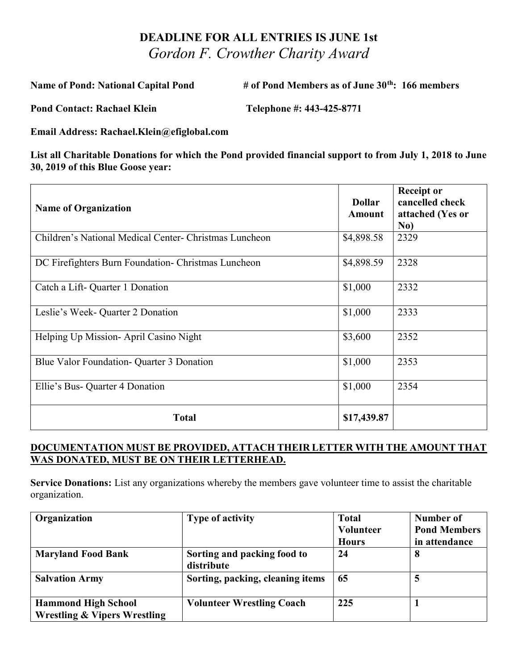## DEADLINE FOR ALL ENTRIES IS JUNE 1st Gordon F. Crowther Charity Award

Name of Pond: National Capital Pond # of Pond Members as of June 30<sup>th</sup>: 166 members

Pond Contact: Rachael Klein Telephone #: 443-425-8771

Email Address: Rachael.Klein@efiglobal.com

List all Charitable Donations for which the Pond provided financial support to from July 1, 2018 to June 30, 2019 of this Blue Goose year:

| <b>Name of Organization</b>                            | <b>Dollar</b><br>Amount | <b>Receipt or</b><br>cancelled check<br>attached (Yes or<br>No) |
|--------------------------------------------------------|-------------------------|-----------------------------------------------------------------|
| Children's National Medical Center- Christmas Luncheon | \$4,898.58              | 2329                                                            |
| DC Firefighters Burn Foundation- Christmas Luncheon    | \$4,898.59              | 2328                                                            |
| Catch a Lift-Quarter 1 Donation                        | \$1,000                 | 2332                                                            |
| Leslie's Week-Quarter 2 Donation                       | \$1,000                 | 2333                                                            |
| Helping Up Mission-April Casino Night                  | \$3,600                 | 2352                                                            |
| Blue Valor Foundation-Quarter 3 Donation               | \$1,000                 | 2353                                                            |
| Ellie's Bus- Quarter 4 Donation                        | \$1,000                 | 2354                                                            |
| <b>Total</b>                                           | \$17,439.87             |                                                                 |

## DOCUMENTATION MUST BE PROVIDED, ATTACH THEIR LETTER WITH THE AMOUNT THAT WAS DONATED, MUST BE ON THEIR LETTERHEAD.

Service Donations: List any organizations whereby the members gave volunteer time to assist the charitable organization.

| Organization                                                          | <b>Type of activity</b>                   | <b>Total</b> | Number of           |
|-----------------------------------------------------------------------|-------------------------------------------|--------------|---------------------|
|                                                                       |                                           | Volunteer    | <b>Pond Members</b> |
|                                                                       |                                           | <b>Hours</b> | in attendance       |
| <b>Maryland Food Bank</b>                                             | Sorting and packing food to<br>distribute | 24           | 8                   |
| <b>Salvation Army</b>                                                 | Sorting, packing, cleaning items          | 65           | 5                   |
| <b>Hammond High School</b><br><b>Wrestling &amp; Vipers Wrestling</b> | <b>Volunteer Wrestling Coach</b>          | 225          |                     |